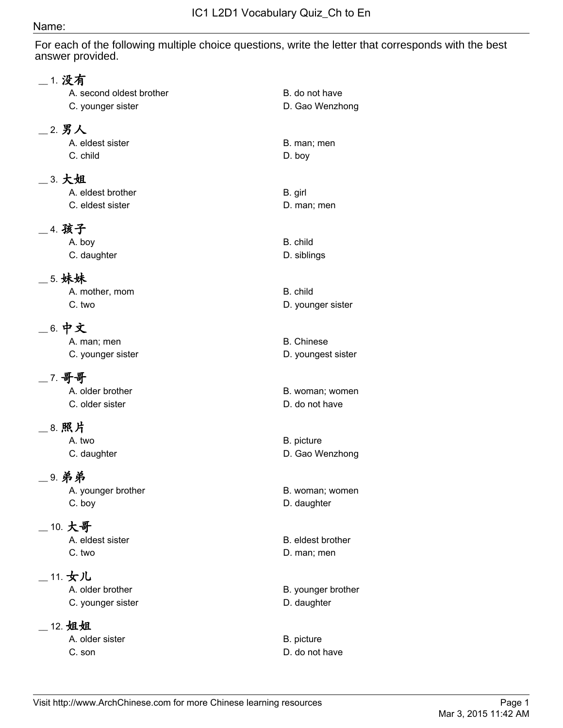## Name:

For each of the following multiple choice questions, write the letter that corresponds with the best answer provided.

| 1. 没有                    |                                   |
|--------------------------|-----------------------------------|
| A. second oldest brother | B. do not have                    |
| C. younger sister        | D. Gao Wenzhong                   |
|                          |                                   |
| 2. 男人                    |                                   |
| A. eldest sister         | B. man; men                       |
| C. child                 | D. boy                            |
| 3. 大姐                    |                                   |
| A. eldest brother        | B. girl                           |
| C. eldest sister         | D. man; men                       |
| 4. 孩子                    |                                   |
| A. boy                   | B. child                          |
| C. daughter              | D. siblings                       |
|                          |                                   |
| 5. 妹妹                    |                                   |
| A. mother, mom           | B. child                          |
| C. two                   | D. younger sister                 |
| 6. 中文                    |                                   |
| A. man; men              | <b>B.</b> Chinese                 |
| C. younger sister        | D. youngest sister                |
|                          |                                   |
| 7. 哥哥                    |                                   |
| A. older brother         | B. woman; women                   |
| C. older sister          | D. do not have                    |
| 8. 照片                    |                                   |
| A. two                   | B. picture                        |
| C. daughter              | D. Gao Wenzhong                   |
|                          |                                   |
| 9. 弟弟                    |                                   |
| A. younger brother       | B. woman; women                   |
| C. boy                   | D. daughter                       |
| 10. 大哥                   |                                   |
| A. eldest sister         | B. eldest brother                 |
| C. two                   | D. man; men                       |
| 11. 女儿                   |                                   |
| A. older brother         |                                   |
| C. younger sister        | B. younger brother<br>D. daughter |
|                          |                                   |
| 12. 姐姐                   |                                   |
| A. older sister          | B. picture                        |
| C. son                   | D. do not have                    |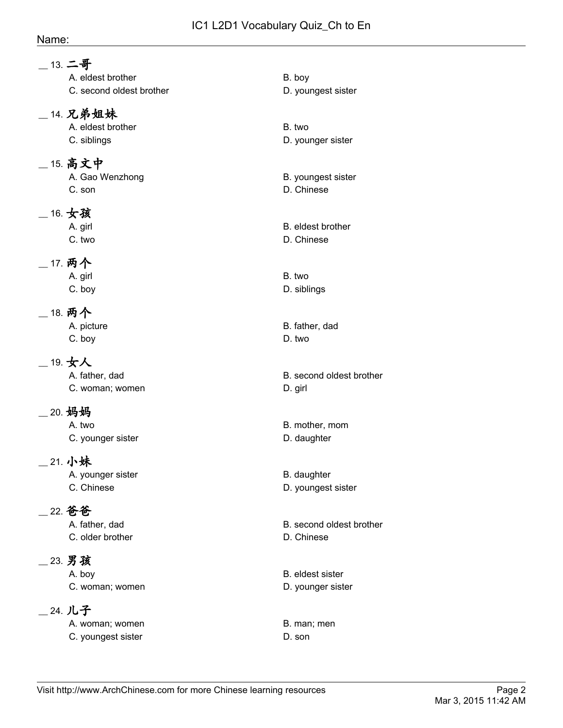## Name:

| __ 13. 二哥<br>A. eldest brother<br>C. second oldest brother | B. boy<br>D. youngest sister                 |
|------------------------------------------------------------|----------------------------------------------|
| _14. 兄弟姐妹<br>A. eldest brother<br>C. siblings              | B. two<br>D. younger sister                  |
| _ 15. 高文中<br>A. Gao Wenzhong<br>C. son                     | B. youngest sister<br>D. Chinese             |
| $\_$ 16. $\bigstar$ 孩<br>A. girl<br>C. two                 | B. eldest brother<br>D. Chinese              |
| _ 17. 两个<br>A. girl<br>C. boy                              | B. two<br>D. siblings                        |
| _ 18. 两个<br>A. picture<br>C. boy                           | B. father, dad<br>D. two                     |
| $\_$ 19. 女人<br>A. father, dad<br>C. woman; women           | B. second oldest brother<br>D. girl          |
| _20. 妈妈<br>A. two<br>C. younger sister                     | B. mother, mom<br>D. daughter                |
| _21. 小妹<br>A. younger sister<br>C. Chinese                 | B. daughter<br>D. youngest sister            |
| _22. 爸爸<br>A. father, dad<br>C. older brother              | B. second oldest brother<br>D. Chinese       |
| _23. 男孩<br>A. boy<br>C. woman; women                       | <b>B.</b> eldest sister<br>D. younger sister |
| _24. 儿子<br>A. woman; women<br>C. youngest sister           | B. man; men<br>D. son                        |